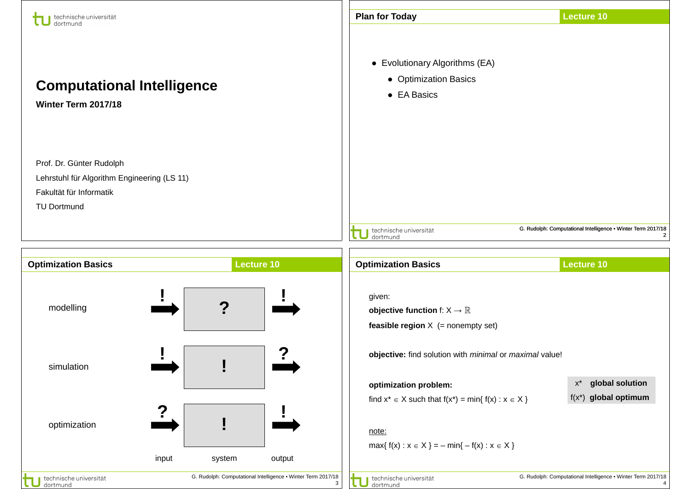| technische universität<br>dortmund                                                                                       |       |        |                                                                   | <b>Plan for Today</b>                                                                              | <b>Lecture 10</b>                                            |
|--------------------------------------------------------------------------------------------------------------------------|-------|--------|-------------------------------------------------------------------|----------------------------------------------------------------------------------------------------|--------------------------------------------------------------|
| <b>Computational Intelligence</b><br>Winter Term 2017/18                                                                 |       |        |                                                                   | • Evolutionary Algorithms (EA)<br>• Optimization Basics<br>• EA Basics                             |                                                              |
| Prof. Dr. Günter Rudolph<br>Lehrstuhl für Algorithm Engineering (LS 11)<br>Fakultät für Informatik<br><b>TU Dortmund</b> |       |        |                                                                   |                                                                                                    | G. Rudolph: Computational Intelligence . Winter Term 2017/18 |
|                                                                                                                          |       |        |                                                                   | J technische universität<br>J dortmund                                                             | $\mathbf{2}$                                                 |
| <b>Optimization Basics</b>                                                                                               |       |        | Lecture 10                                                        | <b>Optimization Basics</b>                                                                         | <b>Lecture 10</b>                                            |
| modelling                                                                                                                |       | 7      |                                                                   | given:<br>objective function f: $X \rightarrow \mathbb{R}$<br>feasible region $X$ (= nonempty set) |                                                              |
| simulation                                                                                                               |       |        |                                                                   | objective: find solution with minimal or maximal value!                                            |                                                              |
|                                                                                                                          |       |        |                                                                   | optimization problem:                                                                              | global solution<br>$X^*$                                     |
|                                                                                                                          |       |        |                                                                   | find $x^* \in X$ such that $f(x^*) = min\{ f(x) : x \in X \}$                                      | $f(x^*)$ global optimum                                      |
| optimization                                                                                                             |       |        |                                                                   | note:<br>$max{f(x) : x \in X} = -min{-f(x) : x \in X}$                                             |                                                              |
|                                                                                                                          | input | system | output                                                            |                                                                                                    |                                                              |
| technische universität<br>dortmund                                                                                       |       |        | G. Rudolph: Computational Intelligence . Winter Term 2017/18<br>3 | technische universität<br>dortmund                                                                 | G. Rudolph: Computational Intelligence • Winter Term 2017/18 |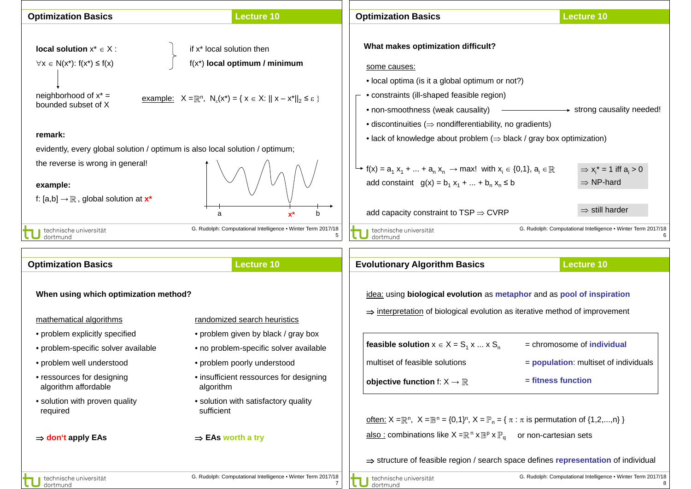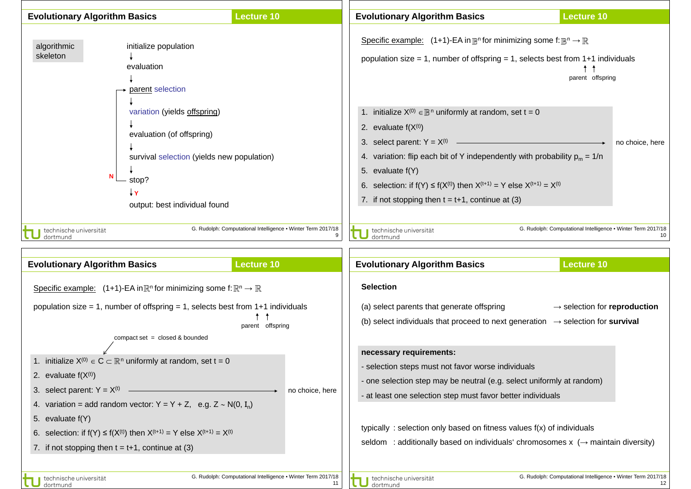

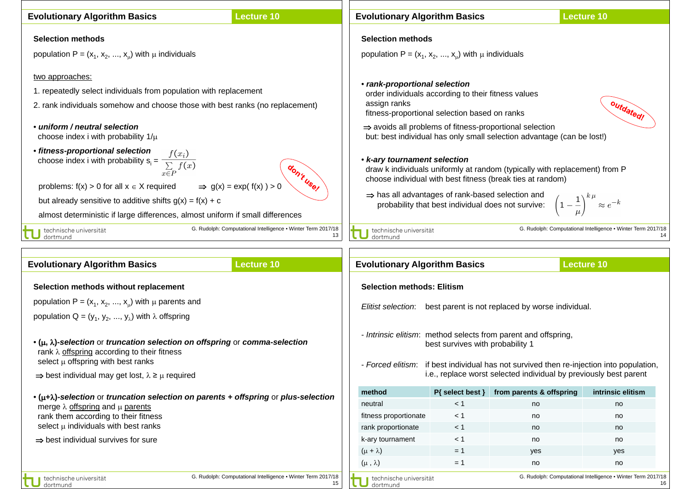| <b>Evolutionary Algorithm Basics</b>                                                                                                                                                                                                                                                                                                                                                                                                                                                                                                                                                                                                                                                                                         | <b>Lecture 10</b>                                                  |  | <b>Evolutionary Algorithm Basics</b>                                                                                                                                                                                                                                                                                                                                                                                                                                                                                                                                                                                                                                                                                                                         |                             |                                | <b>Lecture 10</b>                                            |    |
|------------------------------------------------------------------------------------------------------------------------------------------------------------------------------------------------------------------------------------------------------------------------------------------------------------------------------------------------------------------------------------------------------------------------------------------------------------------------------------------------------------------------------------------------------------------------------------------------------------------------------------------------------------------------------------------------------------------------------|--------------------------------------------------------------------|--|--------------------------------------------------------------------------------------------------------------------------------------------------------------------------------------------------------------------------------------------------------------------------------------------------------------------------------------------------------------------------------------------------------------------------------------------------------------------------------------------------------------------------------------------------------------------------------------------------------------------------------------------------------------------------------------------------------------------------------------------------------------|-----------------------------|--------------------------------|--------------------------------------------------------------|----|
| <b>Selection methods</b>                                                                                                                                                                                                                                                                                                                                                                                                                                                                                                                                                                                                                                                                                                     |                                                                    |  | <b>Selection methods</b>                                                                                                                                                                                                                                                                                                                                                                                                                                                                                                                                                                                                                                                                                                                                     |                             |                                |                                                              |    |
| population $P = (x_1, x_2, , x_u)$ with $\mu$ individuals                                                                                                                                                                                                                                                                                                                                                                                                                                                                                                                                                                                                                                                                    |                                                                    |  | population $P = (x_1, x_2, , x_u)$ with $\mu$ individuals                                                                                                                                                                                                                                                                                                                                                                                                                                                                                                                                                                                                                                                                                                    |                             |                                |                                                              |    |
| two approaches:<br>1. repeatedly select individuals from population with replacement<br>2. rank individuals somehow and choose those with best ranks (no replacement)<br>• uniform / neutral selection<br>choose index i with probability $1/\mu$<br>• fitness-proportional selection<br>choose index i with probability $s_i = \frac{f(x_i)}{\sum\limits_{x \in P} f(x)}$<br>don't use!<br>$\Rightarrow$ g(x) = exp( f(x)) > 0<br>problems: $f(x) > 0$ for all $x \in X$ required<br>but already sensitive to additive shifts $g(x) = f(x) + c$<br>almost deterministic if large differences, almost uniform if small differences<br>G. Rudolph: Computational Intelligence • Winter Term 2017/18<br>technische universität |                                                                    |  | • rank-proportional selection<br>order individuals according to their fitness values<br>assign ranks<br>outdated!<br>fitness-proportional selection based on ranks<br>$\Rightarrow$ avoids all problems of fitness-proportional selection<br>but: best individual has only small selection advantage (can be lost!)<br>• k-ary tournament selection<br>draw k individuals uniformly at random (typically with replacement) from P<br>choose individual with best fitness (break ties at random)<br>⇒ has all advantages of rank-based selection and<br>$\left(1-\frac{1}{\mu}\right)^{k\,\mu}\approx e^{-k}$<br>probability that best individual does not survive:<br>G. Rudolph: Computational Intelligence . Winter Term 2017/18<br>technische universität |                             |                                |                                                              |    |
| dortmund                                                                                                                                                                                                                                                                                                                                                                                                                                                                                                                                                                                                                                                                                                                     | 13                                                                 |  | dortmund                                                                                                                                                                                                                                                                                                                                                                                                                                                                                                                                                                                                                                                                                                                                                     |                             |                                |                                                              | 14 |
| <b>Evolutionary Algorithm Basics</b>                                                                                                                                                                                                                                                                                                                                                                                                                                                                                                                                                                                                                                                                                         | <b>Lecture 10</b>                                                  |  | <b>Evolutionary Algorithm Basics</b>                                                                                                                                                                                                                                                                                                                                                                                                                                                                                                                                                                                                                                                                                                                         |                             |                                | <b>Lecture 10</b>                                            |    |
|                                                                                                                                                                                                                                                                                                                                                                                                                                                                                                                                                                                                                                                                                                                              |                                                                    |  |                                                                                                                                                                                                                                                                                                                                                                                                                                                                                                                                                                                                                                                                                                                                                              |                             |                                |                                                              |    |
| Selection methods without replacement                                                                                                                                                                                                                                                                                                                                                                                                                                                                                                                                                                                                                                                                                        |                                                                    |  | <b>Selection methods: Elitism</b>                                                                                                                                                                                                                                                                                                                                                                                                                                                                                                                                                                                                                                                                                                                            |                             |                                |                                                              |    |
| population P = $(x_1, x_2, , x_u)$ with $\mu$ parents and                                                                                                                                                                                                                                                                                                                                                                                                                                                                                                                                                                                                                                                                    |                                                                    |  | Elitist selection: best parent is not replaced by worse individual.                                                                                                                                                                                                                                                                                                                                                                                                                                                                                                                                                                                                                                                                                          |                             |                                |                                                              |    |
| population Q = $(y_1, y_2, , y_\lambda)$ with $\lambda$ offspring                                                                                                                                                                                                                                                                                                                                                                                                                                                                                                                                                                                                                                                            |                                                                    |  |                                                                                                                                                                                                                                                                                                                                                                                                                                                                                                                                                                                                                                                                                                                                                              |                             |                                |                                                              |    |
| $\bullet$ ( $\mu$ , $\lambda$ )-selection or truncation selection on offspring or comma-selection<br>rank $\lambda$ offspring according to their fitness<br>select $\mu$ offspring with best ranks<br>$\Rightarrow$ best individual may get lost, $\lambda \geq \mu$ required                                                                                                                                                                                                                                                                                                                                                                                                                                                |                                                                    |  | - Intrinsic elitism: method selects from parent and offspring,<br>best survives with probability 1<br>- Forced elitism: if best individual has not survived then re-injection into population,<br>i.e., replace worst selected individual by previously best parent                                                                                                                                                                                                                                                                                                                                                                                                                                                                                          |                             |                                |                                                              |    |
|                                                                                                                                                                                                                                                                                                                                                                                                                                                                                                                                                                                                                                                                                                                              |                                                                    |  |                                                                                                                                                                                                                                                                                                                                                                                                                                                                                                                                                                                                                                                                                                                                                              |                             |                                |                                                              |    |
| $\bullet$ ( $\mu + \lambda$ )-selection or truncation selection on parents + offspring or plus-selection                                                                                                                                                                                                                                                                                                                                                                                                                                                                                                                                                                                                                     |                                                                    |  | method<br>neutral                                                                                                                                                                                                                                                                                                                                                                                                                                                                                                                                                                                                                                                                                                                                            | $P{$ select best $}$<br>< 1 | from parents & offspring<br>no | intrinsic elitism<br>no                                      |    |
| merge $\lambda$ offspring and $\mu$ parents<br>rank them according to their fitness                                                                                                                                                                                                                                                                                                                                                                                                                                                                                                                                                                                                                                          |                                                                    |  | fitness proportionate                                                                                                                                                                                                                                                                                                                                                                                                                                                                                                                                                                                                                                                                                                                                        | < 1                         | no                             | no                                                           |    |
| select $\mu$ individuals with best ranks                                                                                                                                                                                                                                                                                                                                                                                                                                                                                                                                                                                                                                                                                     |                                                                    |  | rank proportionate                                                                                                                                                                                                                                                                                                                                                                                                                                                                                                                                                                                                                                                                                                                                           | < 1                         | no                             | no                                                           |    |
| $\Rightarrow$ best individual survives for sure                                                                                                                                                                                                                                                                                                                                                                                                                                                                                                                                                                                                                                                                              |                                                                    |  | k-ary tournament                                                                                                                                                                                                                                                                                                                                                                                                                                                                                                                                                                                                                                                                                                                                             | < 1                         | no                             | no                                                           |    |
|                                                                                                                                                                                                                                                                                                                                                                                                                                                                                                                                                                                                                                                                                                                              |                                                                    |  | $(\mu + \lambda)$                                                                                                                                                                                                                                                                                                                                                                                                                                                                                                                                                                                                                                                                                                                                            | $= 1$                       | yes                            | yes                                                          |    |
|                                                                                                                                                                                                                                                                                                                                                                                                                                                                                                                                                                                                                                                                                                                              |                                                                    |  | $(\mu, \lambda)$                                                                                                                                                                                                                                                                                                                                                                                                                                                                                                                                                                                                                                                                                                                                             | $= 1$                       | no                             | no                                                           |    |
| technische universität<br>dortmund                                                                                                                                                                                                                                                                                                                                                                                                                                                                                                                                                                                                                                                                                           | G. Rudolph: Computational Intelligence . Winter Term 2017/18<br>15 |  | technische universität<br>dortmund                                                                                                                                                                                                                                                                                                                                                                                                                                                                                                                                                                                                                                                                                                                           |                             |                                | G. Rudolph: Computational Intelligence • Winter Term 2017/18 | 16 |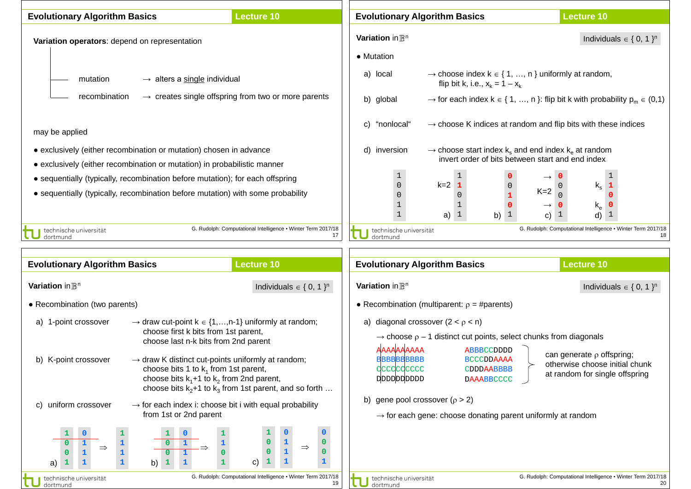| <b>Evolutionary Algorithm Basics</b>                                                                                                                             |                                                                                                                                                           | <b>Lecture 10</b>                                                  |                                                   | <b>Evolutionary Algorithm Basics</b>                                                                                                          | <b>Lecture 10</b>                                                                                                                                          |  |
|------------------------------------------------------------------------------------------------------------------------------------------------------------------|-----------------------------------------------------------------------------------------------------------------------------------------------------------|--------------------------------------------------------------------|---------------------------------------------------|-----------------------------------------------------------------------------------------------------------------------------------------------|------------------------------------------------------------------------------------------------------------------------------------------------------------|--|
| Variation operators: depend on representation                                                                                                                    |                                                                                                                                                           |                                                                    | Variation in $\mathbb{B}^n$<br>• Mutation         |                                                                                                                                               | Individuals $\in \{0, 1\}^n$                                                                                                                               |  |
| mutation                                                                                                                                                         | $\rightarrow$ alters a single individual                                                                                                                  |                                                                    | a) local                                          | flip bit k, i.e., $x_k = 1 - x_k$                                                                                                             | $\rightarrow$ choose index $k \in \{1, , n\}$ uniformly at random,                                                                                         |  |
| recombination<br>$\rightarrow$ creates single offspring from two or more parents                                                                                 |                                                                                                                                                           |                                                                    | b) global                                         | $\rightarrow$ for each index $k \in \{1, , n\}$ : flip bit k with probability $p_m \in (0,1)$                                                 |                                                                                                                                                            |  |
| may be applied                                                                                                                                                   |                                                                                                                                                           |                                                                    | "nonlocal"<br>C)                                  | $\rightarrow$ choose K indices at random and flip bits with these indices                                                                     |                                                                                                                                                            |  |
|                                                                                                                                                                  | • exclusively (either recombination or mutation) chosen in advance<br>• exclusively (either recombination or mutation) in probabilistic manner            |                                                                    | d) inversion                                      | $\rightarrow$ choose start index k <sub>s</sub> and end index k <sub>e</sub> at random<br>invert order of bits between start and end index    |                                                                                                                                                            |  |
| • sequentially (typically, recombination before mutation); for each offspring<br>• sequentially (typically, recombination before mutation) with some probability |                                                                                                                                                           |                                                                    | $\mathbf{1}$<br>$\Omega$<br>$\mathbf{1}$          | $\mathbf{1}$<br>$k=2$ 1<br>$\overline{0}$<br>$\overline{0}$<br>1<br>$\mathbf{0}$<br>a) $1$<br>b) $1$                                          | $\mathbf{1}$<br>$\mathsf{k_s}$<br>1<br>$K=2$<br>$\mathbf 0$<br>$\mathsf{k}_{\mathsf{e}}$<br>0<br>$\rightarrow$<br>$\mathbf{1}$<br>d)<br>$\mathbf{1}$<br>C) |  |
| technische universität<br>dortmund                                                                                                                               |                                                                                                                                                           | G. Rudolph: Computational Intelligence . Winter Term 2017/18<br>17 | technische universität<br>dortmund                |                                                                                                                                               | G. Rudolph: Computational Intelligence • Winter Term 2017/18                                                                                               |  |
|                                                                                                                                                                  |                                                                                                                                                           |                                                                    |                                                   |                                                                                                                                               |                                                                                                                                                            |  |
| <b>Evolutionary Algorithm Basics</b><br><b>Lecture 10</b>                                                                                                        |                                                                                                                                                           |                                                                    |                                                   | <b>Evolutionary Algorithm Basics</b>                                                                                                          | <b>Lecture 10</b>                                                                                                                                          |  |
| Variation in $\mathbb{B}^n$                                                                                                                                      |                                                                                                                                                           | Individuals $\in \{0, 1\}^n$                                       | Variation in $\mathbb{B}^n$                       |                                                                                                                                               | Individuals $\in \{0, 1\}^n$                                                                                                                               |  |
| • Recombination (two parents)                                                                                                                                    |                                                                                                                                                           |                                                                    | • Recombination (multiparent: $\rho = #parents$ ) |                                                                                                                                               |                                                                                                                                                            |  |
| 1-point crossover<br>a)                                                                                                                                          | $\rightarrow$ draw cut-point k $\in$ {1,,n-1} uniformly at random;<br>choose first k bits from 1st parent,<br>choose last n-k bits from 2nd parent        |                                                                    | AAAAAAAAAA                                        | a) diagonal crossover $(2 < p < n)$<br>$\rightarrow$ choose $\rho$ – 1 distinct cut points, select chunks from diagonals<br><b>ABBBCCDDDD</b> |                                                                                                                                                            |  |
| b) K-point crossover                                                                                                                                             | $\rightarrow$ draw K distinct cut-points uniformly at random;<br>choose bits 1 to $k_1$ from 1st parent,<br>choose bits $k_1+1$ to $k_2$ from 2nd parent, | choose bits $k_2+1$ to $k_3$ from 1st parent, and so forth         | <b>BBBBBBBBBBB</b><br>dccdcdcccc<br>ppppppppppp   | <b>BCCCDDAAAA</b><br>CDDDAABBBB<br><b>DAAABBCCCC</b>                                                                                          | can generate $\rho$ offspring;<br>otherwise choose initial chunk<br>at random for single offspring                                                         |  |
| uniform crossover                                                                                                                                                | $\rightarrow$ for each index i: choose bit i with equal probability<br>from 1st or 2nd parent                                                             |                                                                    | b) gene pool crossover ( $\rho > 2$ )             | $\rightarrow$ for each gene: choose donating parent uniformly at random                                                                       |                                                                                                                                                            |  |
| $\Rightarrow$<br>a)                                                                                                                                              | b)<br>$\mathbf{1}$<br>u,                                                                                                                                  | $\mathbf{0}$<br>$\mathbf{1}$<br>$\Rightarrow$<br>0<br>C)           |                                                   |                                                                                                                                               |                                                                                                                                                            |  |
| technische universität<br>dortmund                                                                                                                               |                                                                                                                                                           | G. Rudolph: Computational Intelligence . Winter Term 2017/18<br>19 | technische universität<br>dortmund                |                                                                                                                                               | G. Rudolph: Computational Intelligence • Winter Term 2017/18<br>20                                                                                         |  |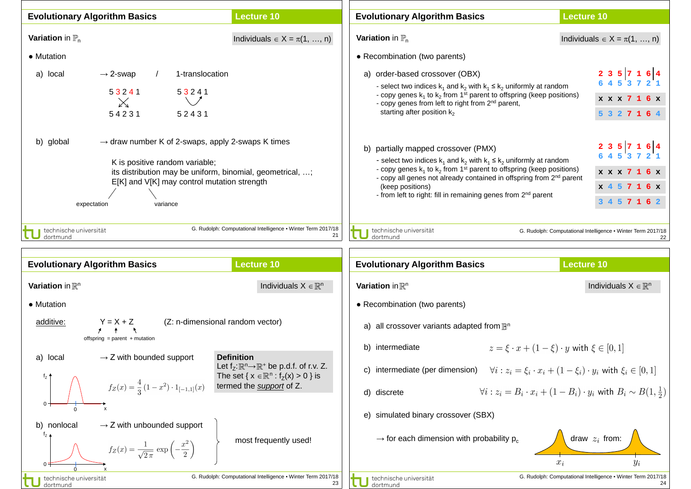| <b>Evolutionary Algorithm Basics</b>                                                                                                                                                                                                                | <b>Lecture 10</b>                                                                                                                                                    | <b>Evolutionary Algorithm Basics</b>                                                                                                                                                                                                                                                                                                                                                                                                                                                  | <b>Lecture 10</b>                                                                                                                                                              |  |  |
|-----------------------------------------------------------------------------------------------------------------------------------------------------------------------------------------------------------------------------------------------------|----------------------------------------------------------------------------------------------------------------------------------------------------------------------|---------------------------------------------------------------------------------------------------------------------------------------------------------------------------------------------------------------------------------------------------------------------------------------------------------------------------------------------------------------------------------------------------------------------------------------------------------------------------------------|--------------------------------------------------------------------------------------------------------------------------------------------------------------------------------|--|--|
| <b>Variation</b> in $\mathbb{P}_n$                                                                                                                                                                                                                  | Individuals $\in X = \pi(1, , n)$                                                                                                                                    | <b>Variation</b> in $\mathbb{P}_n$                                                                                                                                                                                                                                                                                                                                                                                                                                                    | Individuals $\in X = \pi(1, , n)$                                                                                                                                              |  |  |
| • Mutation                                                                                                                                                                                                                                          |                                                                                                                                                                      | • Recombination (two parents)                                                                                                                                                                                                                                                                                                                                                                                                                                                         |                                                                                                                                                                                |  |  |
| 1-translocation<br>$\rightarrow$ 2-swap<br>a) local<br>53241<br>53241<br>$\mathbb{X}$<br>54231<br>52431                                                                                                                                             |                                                                                                                                                                      | a) order-based crossover (OBX)<br>- select two indices $k_1$ and $k_2$ with $k_1 \le k_2$ uniformly at random<br>- copy genes $k_1$ to $k_2$ from 1 <sup>st</sup> parent to offspring (keep positions)<br>- copy genes from left to right from 2 <sup>nd</sup> parent,<br>starting after position $k_2$                                                                                                                                                                               | 2 3 5 7 1 6 4<br>6 4 5 3 7 2 1<br>x x x 7 1 6 x<br>5 3 2 7 1 6 4                                                                                                               |  |  |
| $\rightarrow$ draw number K of 2-swaps, apply 2-swaps K times<br>b) global<br>K is positive random variable;<br>its distribution may be uniform, binomial, geometrical, ;<br>E[K] and V[K] may control mutation strength<br>expectation<br>variance |                                                                                                                                                                      | 2 3 5 7 1 6 4<br>b) partially mapped crossover (PMX)<br>6 4 5 3 7 2 1<br>- select two indices $k_1$ and $k_2$ with $k_1 \leq k_2$ uniformly at random<br>- copy genes $k_1$ to $k_2$ from 1 <sup>st</sup> parent to offspring (keep positions)<br>x x x 7 1 6 x<br>- copy all genes not already contained in offspring from 2 <sup>nd</sup> parent<br>(keep positions)<br>x 4 5 7 1 6 x<br>- from left to right: fill in remaining genes from 2 <sup>nd</sup> parent<br>3 4 5 7 1 6 2 |                                                                                                                                                                                |  |  |
| technische universität<br>dortmund                                                                                                                                                                                                                  | G. Rudolph: Computational Intelligence . Winter Term 2017/18<br>21                                                                                                   | technische universität<br>dortmund                                                                                                                                                                                                                                                                                                                                                                                                                                                    | G. Rudolph: Computational Intelligence . Winter Term 2017/18<br>22                                                                                                             |  |  |
| <b>Evolutionary Algorithm Basics</b>                                                                                                                                                                                                                | <b>Lecture 10</b>                                                                                                                                                    | <b>Evolutionary Algorithm Basics</b>                                                                                                                                                                                                                                                                                                                                                                                                                                                  | <b>Lecture 10</b>                                                                                                                                                              |  |  |
| Variation in $\mathbb{R}^n$                                                                                                                                                                                                                         | Individuals $X \in \mathbb{R}^n$                                                                                                                                     | Variation in $\mathbb{R}^n$                                                                                                                                                                                                                                                                                                                                                                                                                                                           | Individuals $X \in \mathbb{R}^n$                                                                                                                                               |  |  |
| • Mutation                                                                                                                                                                                                                                          |                                                                                                                                                                      | • Recombination (two parents)                                                                                                                                                                                                                                                                                                                                                                                                                                                         |                                                                                                                                                                                |  |  |
| $Y = X + Z$<br>(Z: n-dimensional random vector)<br>additive:                                                                                                                                                                                        |                                                                                                                                                                      | a) all crossover variants adapted from $\mathbb{B}^n$                                                                                                                                                                                                                                                                                                                                                                                                                                 |                                                                                                                                                                                |  |  |
| offspring = parent + mutation                                                                                                                                                                                                                       |                                                                                                                                                                      | $z = \xi \cdot x + (1 - \xi) \cdot y$ with $\xi \in [0, 1]$<br>b) intermediate                                                                                                                                                                                                                                                                                                                                                                                                        |                                                                                                                                                                                |  |  |
| $\rightarrow$ Z with bounded support<br>a) local<br>$f_z$ $\uparrow$<br>$f_Z(x) = \frac{4}{2}(1-x^2) \cdot 1_{[-1,1]}(x)$                                                                                                                           | <b>Definition</b><br>Let $f_z: \mathbb{R}^n \to \mathbb{R}^+$ be p.d.f. of r.v. Z.<br>The set { $x \in \mathbb{R}^n$ : $f_z(x) > 0$ } is<br>termed the support of Z. | c) intermediate (per dimension)<br>d) discrete                                                                                                                                                                                                                                                                                                                                                                                                                                        | $\forall i: z_i = \xi_i \cdot x_i + (1 - \xi_i) \cdot y_i$ with $\xi_i \in [0, 1]$<br>$\forall i: z_i = B_i \cdot x_i + (1 - B_i) \cdot y_i$ with $B_i \sim B(1, \frac{1}{2})$ |  |  |
| $\boldsymbol{\mathsf{x}}$<br>$\rightarrow$ Z with unbounded support<br>b) nonlocal<br>$t_{Z}$ 4<br>$f_Z(x) = \frac{1}{\sqrt{2\pi}} \exp\left(-\frac{x^2}{2}\right)$<br>technische universität                                                       | most frequently used!<br>G. Rudolph: Computational Intelligence . Winter Term 2017/18                                                                                | simulated binary crossover (SBX)<br>e)<br>$\rightarrow$ for each dimension with probability $p_c$<br>technische universität                                                                                                                                                                                                                                                                                                                                                           | draw $z_i$ from:<br>$x_i$<br>$\it{y_i}$<br>G. Rudolph: Computational Intelligence . Winter Term 2017/18                                                                        |  |  |
| dortmund                                                                                                                                                                                                                                            | 23                                                                                                                                                                   | dortmund                                                                                                                                                                                                                                                                                                                                                                                                                                                                              | 24                                                                                                                                                                             |  |  |

 $\mathcal{L}$